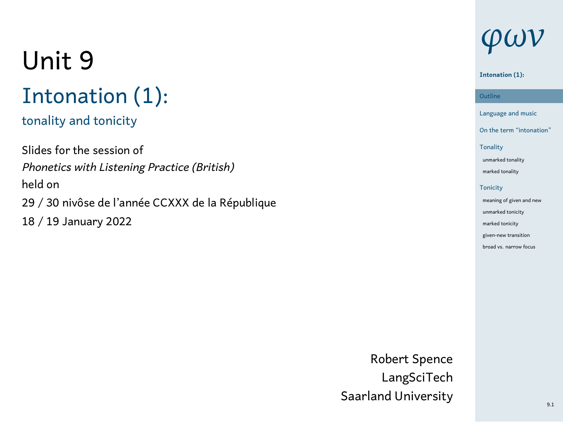## Unit 9 Intonation (1):

## tonality and tonicity

Slides for the session of *Phonetics with Listening Practice (British)* held on 29 / 30 nivôse de l'année CCXXX de la République 18 / 19 January 2022

## *φων*

### **Intonation (1):**

Outline<br>Language and music **Outline** On the term "intonation" Tonality unmarked t marked tonality Tonicity meaning of given and new unmarked to marked tonicity given-new tra .<br>broad vs. narrow

Robert Spence LangSciTech Saarland University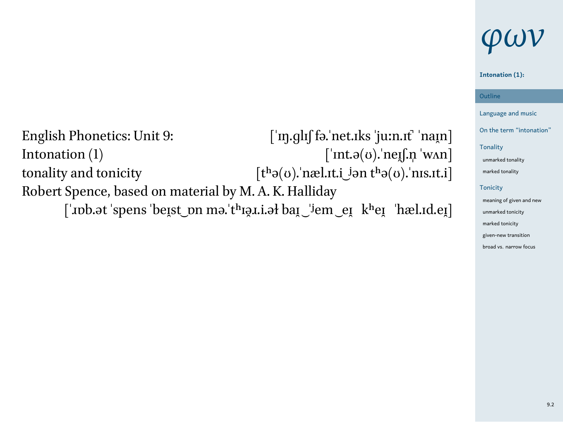## *φων*

## Outline<br>Language and music **Intonation (1):**

**Outline** 

English Phonetics: Unit 9:  $\begin{bmatrix} \n\text{`m,gluf} \text{`fə.'} \text{net.} \text{rks'ju:} \text{n.rf'} \text{`nam} \n\end{bmatrix}$ <br>Intonation (1)  $\begin{bmatrix} \n\text{`m.t.} \text{J$\psi$} \text{`m.t.} \n\end{bmatrix}$  $[\n]$ nt.ə $(\sigma)$ . neɪʃ.n ˈwʌn] tonality and tonicity  $[t^h\partial(\sigma)]$  næl.<br>It.i jən $t^h\partial(\sigma)$ .<br>'nıs.<br>It.i Robert Spence, based on material by M. A. K. Halliday

 $[$ 'nb.ət 'spens 'beɪ̯st\_pn mə.'tʰɪə̯ɪ.i.əł baɪ̯ ˈʲem eɪ̯ kʰeɪ̯ ˈhæl.ɪd.eɪ̯]

 $On the term "int$ Tonality unmarked tonality marked to **Tonicity** meaning of g unmarked to marked tonicity given-new tra

broad vs. narrow for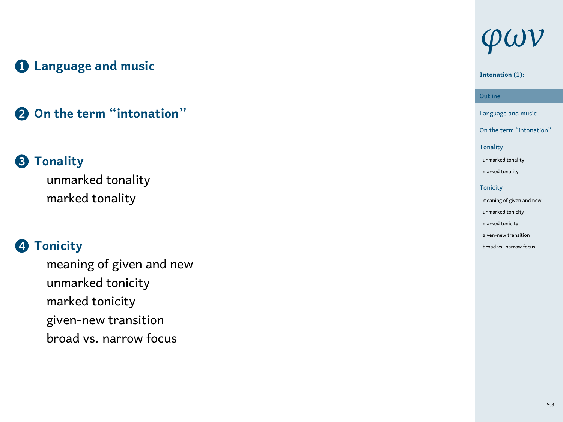## **1 Language and music**

## **2 On the term "intonation"**

### **3 Tonality**

unmarked tonality marked tonality

## **4 Tonicity**

meaning of given and new unmarked tonicity marked tonicity given-new transition broad vs. narrow focus

## *φων*

### **Intonation (1):**

Outline<br>Language and music **Outline** 

- On the term "intonation"
- Tonality unmarked tor marked tonality **Tonicity** meaning of given and new unmarked tonicity
- marked tonicity given-new transition broad vs. narrow foo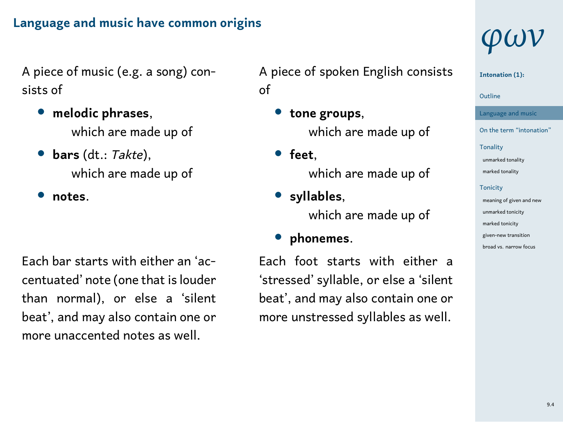#### **Language and music have common origins**

A piece of music (e.g. a song) consists of

- *•* **melodic phrases**, which are made up of
- *•* **bars** (dt.: *Takte*), which are made up of
- *•* **notes**.

Each bar starts with either an 'accentuated' note (one that is louder than normal), or else a 'silent beat', and may also contain one or more unaccented notes as well.

A piece of spoken English consists of

- *•* **tone groups**, which are made up of
- *•* **feet**, which are made up of
- *•* **syllables**, which are made up of
- *•* **phonemes**.

Each foot starts with either a 'stressed' syllable, or else a 'silent beat', and may also contain one or more unstressed syllables as well.

## *φων*

**Intonation (1):**

#### 1 Outline

- Language and music On the term "intonation" Tonality unmarked tonality marked tonality **Tonicity** mean af a
- unmarked tonicity marked tonicity given-new transition .<br>road vs. na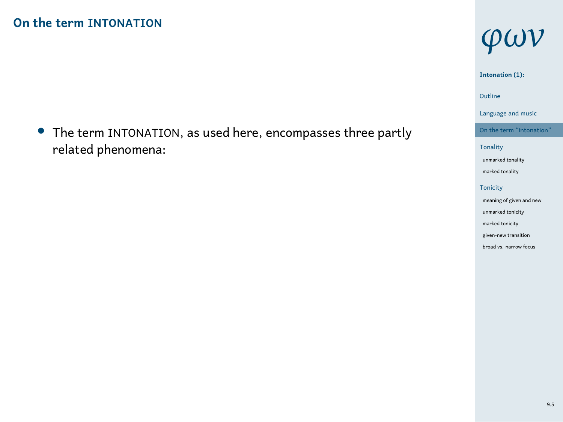*•* The term INTONATION, as used here, encompasses three partly related phenomena:

## *φων*

### **Intonation (1):**

#### 1 Outline

- Language and music On the term "inton
- Tonality unmarked tonality marked tonality Tonicity meaning of given and new unmarked tonicity
- marked tonicity given-new transition broad vs. narrow focus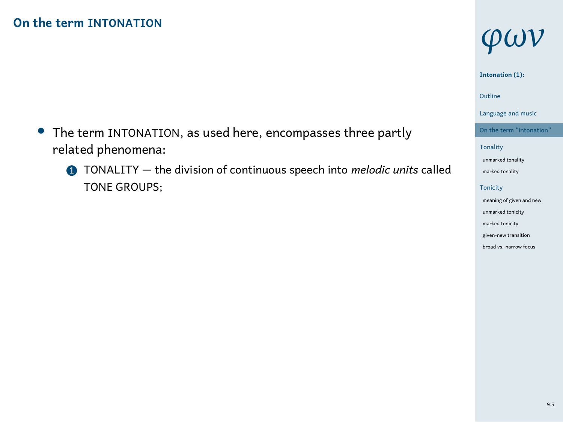- *•* The term INTONATION, as used here, encompasses three partly related phenomena:
	- 1 TONALITY the division of continuous speech into *melodic units* called TONE GROUPS;

## *φων*

#### **Intonation (1):**

### 1 Outline

- Language and music
- On the term "inton Tonality unmarked to marked tonality

Tonicity meaning of given and new unmarked tonicity marked tonicity given-new transition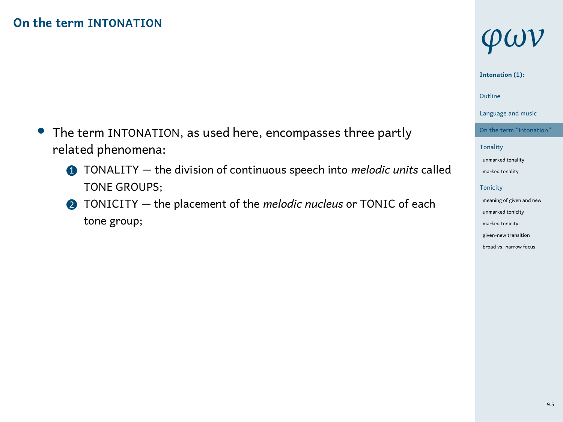- *•* The term INTONATION, as used here, encompasses three partly related phenomena:
	- 1 TONALITY the division of continuous speech into *melodic units* called TONE GROUPS;
	- 2 TONICITY the placement of the *melodic nucleus* or TONIC of each tone group;

## *φων*

#### **Intonation (1):**

### 1 Outline

Language and music

#### On the term "inton Tonality

unmarked to marked tonality Tonicity meaning of given and new unmarked tonicity marked tonicity

given-new transition broad vs. narrow focus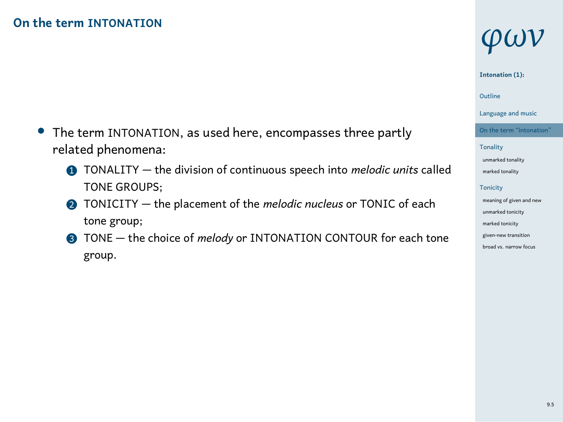- *•* The term INTONATION, as used here, encompasses three partly related phenomena:
	- 1 TONALITY the division of continuous speech into *melodic units* called TONE GROUPS;
	- 2 TONICITY the placement of the *melodic nucleus* or TONIC of each tone group;
	- 3 TONE the choice of *melody* or INTONATION CONTOUR for each tone group.

## *φων*

#### **Intonation (1):**

### 1 Outline

Language and music

#### On the term "inton Tonality

#### unmarked to marked tonality

Tonicity meaning of given and new unmarked tonicity marked tonicity

given-new transition broad vs. narrow for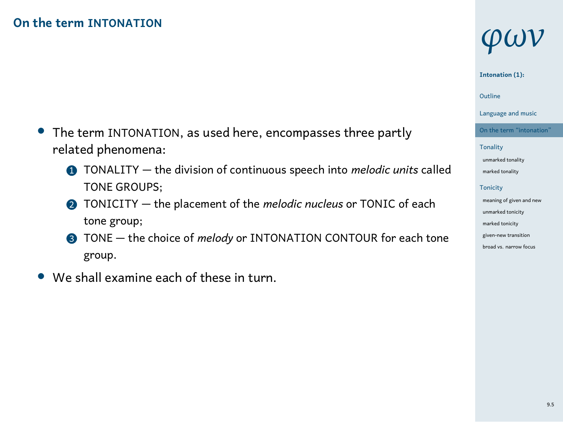- *•* The term INTONATION, as used here, encompasses three partly related phenomena:
	- 1 TONALITY the division of continuous speech into *melodic units* called TONE GROUPS;
	- 2 TONICITY the placement of the *melodic nucleus* or TONIC of each tone group;
	- 3 TONE the choice of *melody* or INTONATION CONTOUR for each tone group.
- *•* We shall examine each of these in turn.

## *φων*

#### **Intonation (1):**

### 1 Outline

Language and music

#### On the term "inton Tonality

- unmarked to marked tonality Tonicity meaning of given and new
- unmarked tonicity marked tonicity
- given-new transition broad vs. narrow fo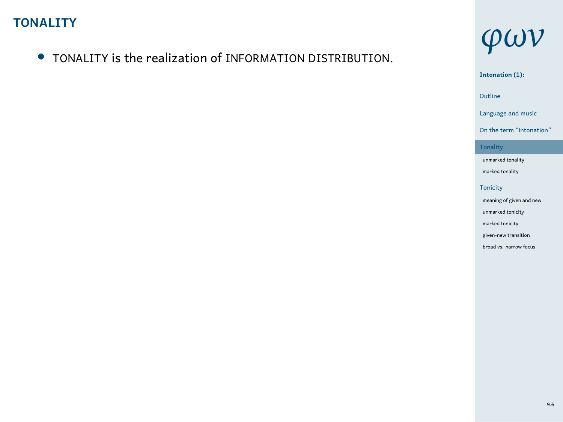*•* TONALITY is the realization of INFORMATION DISTRIBUTION.



Language and music On the term "intonation" Tonality unmarked tonality marked tonality

Tonicity meaning of given and new unmarked tonicity marked tonicity given-new transition broad vs. narrow focus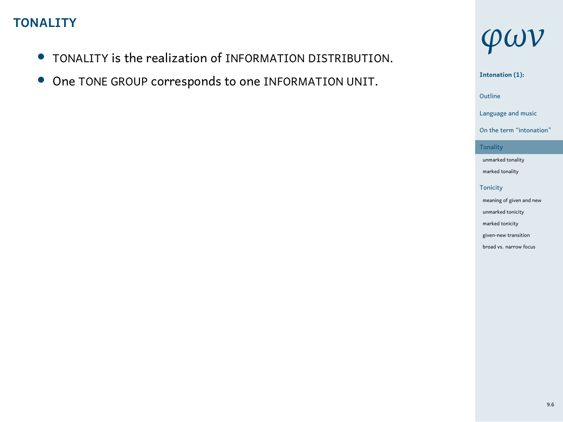- *•* TONALITY is the realization of INFORMATION DISTRIBUTION.
- *•* One TONE GROUP corresponds to one INFORMATION UNIT.



**Intonation (1):**

1 Outline

Language and music On the term "intonation"

Tonality unmarked tonality marked tonality Tonicity meaning of given and new unmarked tonicity marked tonicity

given-new transition broad vs. narrow focus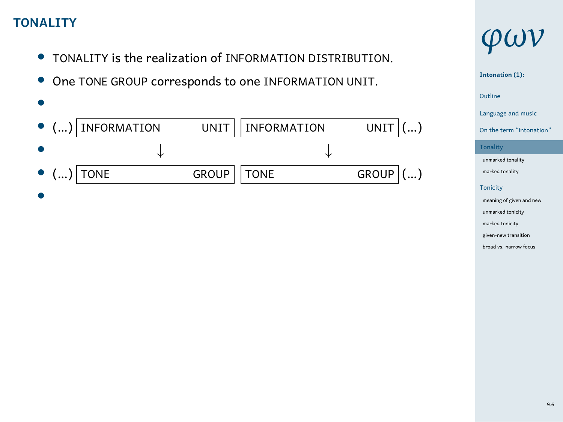- *•* TONALITY is the realization of INFORMATION DISTRIBUTION.
- *•* One TONE GROUP corresponds to one INFORMATION UNIT.

|                   | $\bullet$ () INFORMATION |              | UNIT   INFORMATION | UNIT $ ()$ |
|-------------------|--------------------------|--------------|--------------------|------------|
|                   |                          |              |                    |            |
| $\bullet$ () TONE |                          | GROUP   TONE |                    | $GROUP$ () |
|                   |                          |              |                    |            |



| $\mathcal{U}(\mathbf{r})$ |
|---------------------------|
| Intonation (1):           |

1 Outline Language and music

- On the term "intonati
- Tonality un<br>Marked tonality marked tonality

**Tonicity** meaning of given and new unmarked ton marked tonicity given-new transit broad vs. narrow foo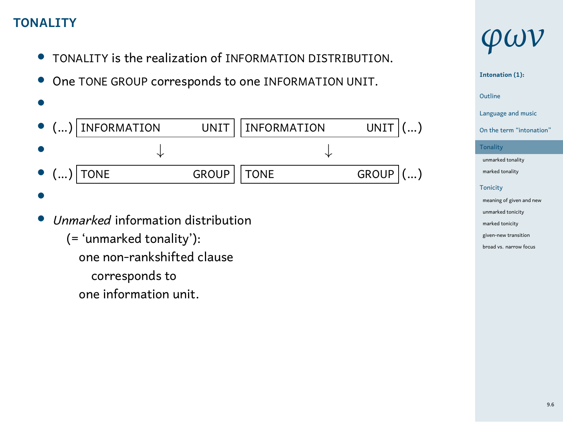- *•* TONALITY is the realization of INFORMATION DISTRIBUTION.
- *•* One TONE GROUP corresponds to one INFORMATION UNIT.

| ı                   |  |
|---------------------|--|
| ۰,<br>I<br>M.<br>۰. |  |
|                     |  |
|                     |  |

|  | $\bullet$ () INFORMATION |              | UNIT    INFORMATION | UNIT $ ()$                         |  |
|--|--------------------------|--------------|---------------------|------------------------------------|--|
|  |                          |              |                     |                                    |  |
|  | $\bullet$ () TONE        | GROUP   TONE |                     | $GROUP$ $\vert$ $\ldots$ $\rangle$ |  |

- *•*
- *• Unmarked* information distribution
	- (= 'unmarked tonality'):
	- one non-rankshifted clause
		- corresponds to
		- one information unit.

## *φων*

### **Intonation (1):**

1 Outline

## Language and music

On the term "intonati **Tonali** unmarked tonality marked tonality **Tonicity** meaning of given and new unked tonic

marked tonicity given-new transi broad vs. narrow for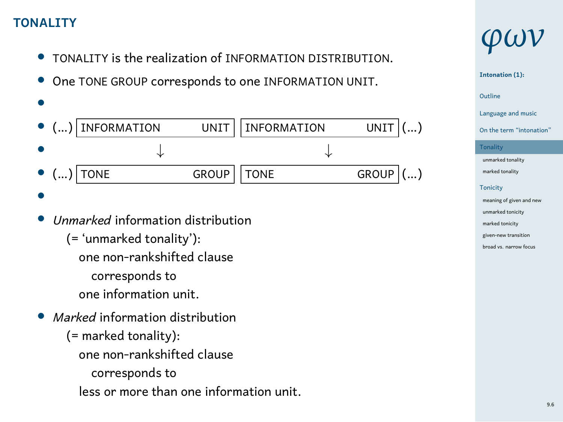- *•* TONALITY is the realization of INFORMATION DISTRIBUTION.
- *•* One TONE GROUP corresponds to one INFORMATION UNIT.

| INFORMATION                                                                                                                                                 | UNIT         | <b>INFORMATION</b> | <b>UNIT</b>  |
|-------------------------------------------------------------------------------------------------------------------------------------------------------------|--------------|--------------------|--------------|
|                                                                                                                                                             |              |                    |              |
| <b>TONE</b><br>)(…)                                                                                                                                         | <b>GROUP</b> | <b>TONE</b>        | <b>GROUP</b> |
|                                                                                                                                                             |              |                    |              |
| Unmarked information distribution<br>(= 'unmarked tonality'):<br>one non-rankshifted clause<br>corresponds to<br>one information unit.                      |              |                    |              |
| <i>Marked</i> information distribution<br>$(=$ marked tonality):<br>one non-rankshifted clause<br>corresponds to<br>less or more than one information unit. |              |                    |              |

## *φων*

## **Intonation (1):**

1 Outline Language and music

On the term "intonation"

Tonality unmarked tonality marked tonality Tonicity meaning of given and new unmarked tonicity marked tonicity

given-new transition broad vs. narrow focus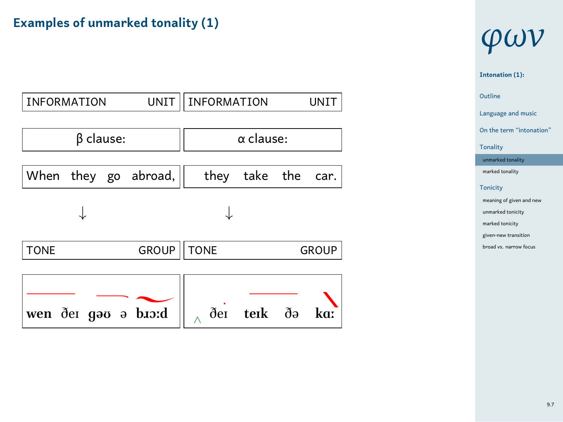## **Examples of unmarked tonality (1)**

| <b>INFORMATION</b>   | UNIT II          |             | INFORMATION |  | <b>UNIT</b>  |
|----------------------|------------------|-------------|-------------|--|--------------|
| $\beta$ clause:      | $\alpha$ clause: |             |             |  |              |
| When they go abroad, |                  | they        | take the    |  | car.         |
|                      |                  |             |             |  |              |
| <b>TONE</b>          | <b>GROUP</b>     | <b>TONE</b> |             |  | <b>GROUP</b> |
| wen der gav a brord  |                  | ðеı         | terk də     |  | ka:          |

## *φων*

1 Outline **Intonation (1):** Language and music

On the term "intonation" Tonality

unmarked tonality marked tonality Tonicity meaning of given and new unmarked tonicity marked tonicity

given-new transition broad vs. narrow focus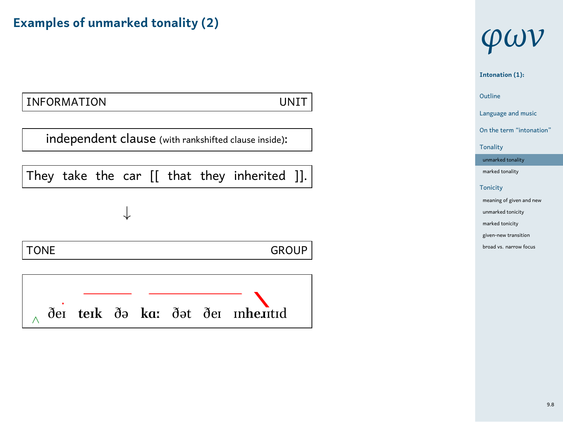### **Examples of unmarked tonality (2)**



## *φων*

1 Outline **Intonation (1):** Language and music On the term "intonation" Tonality unmarked to marked tonality Tonicity meaning of given and new unked tonicity marked tonicity n-new transit broad vs. narrow for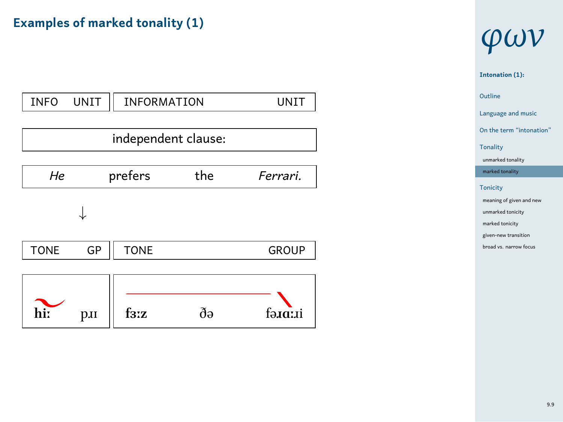## **Examples of marked tonality (1)**



## *φων*

1 Outline **Intonation (1):** Language and music On the term "into Tonality

un<br>Marked tonality  $m$ arked to Tonicity meaning of given and  $ne$ 

unmarked tonicity marked tonicity given-new transition broad vs. narrow foc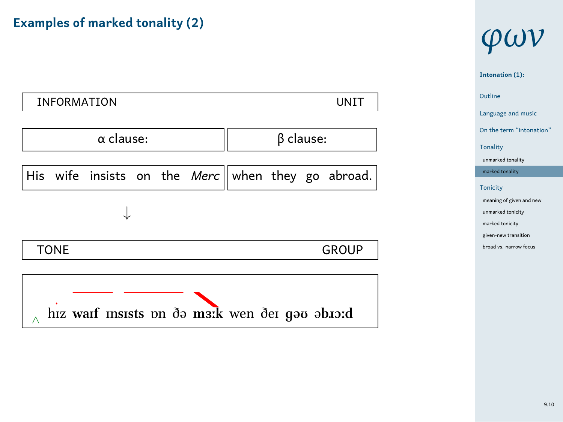### **Examples of marked tonality (2)**



## *φων*

1 Outline **Intonation (1):** Language and music On the term "into Tonality unmarked tonality

marked tonality Tonicity meaning of given and new

unmarked tonicity marked tonicity given-new transition broad vs. narrow foc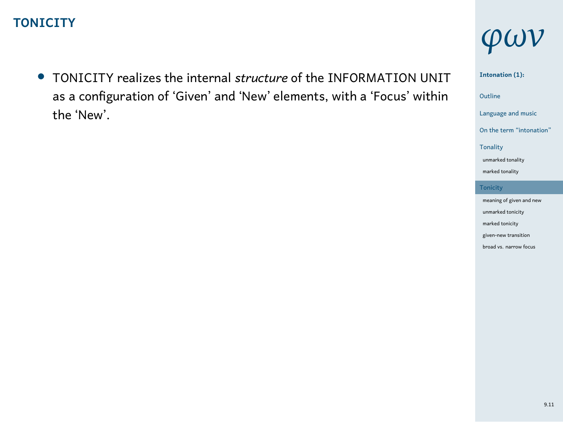### **TONICITY**

*•* TONICITY realizes the internal *structure* of the INFORMATION UNIT as a configuration of 'Given' and 'New' elements, with a 'Focus' within the 'New'.

## *φων*

1 Outline **Intonation (1):** Language and music On the term "intonation" Tonality unmarked tonality marked tonality Tonicity meaning of given and new unmarked tonicity marked tonicity given-new transition

broad vs. narrow focus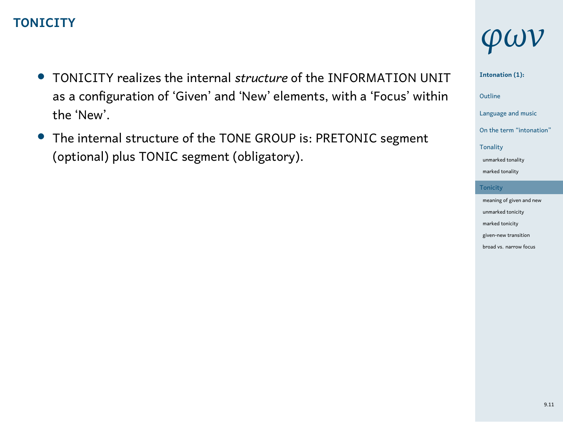#### **TONICITY**

- *•* TONICITY realizes the internal *structure* of the INFORMATION UNIT as a configuration of 'Given' and 'New' elements, with a 'Focus' within the 'New'.
- *•* The internal structure of the TONE GROUP is: PRETONIC segment (optional) plus TONIC segment (obligatory).

## *φων*

**Intonation (1):**

1 Outline

Language and music On the term "intona

Tonality unmarked tonality marked tonality

**Tonicit** meaning of given and new unmarked ton marked tonicity

given-new tran broad vs. narrow foo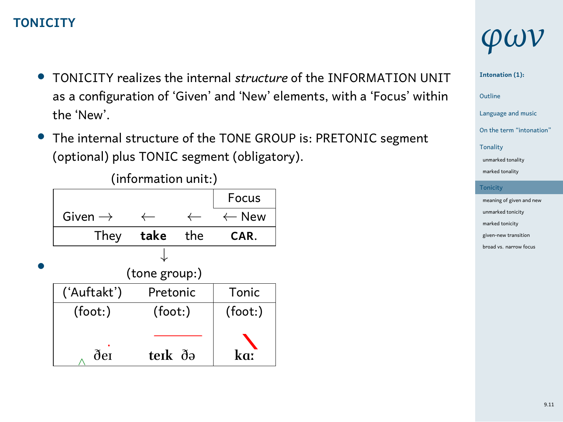#### **TONICITY**

- *•* TONICITY realizes the internal *structure* of the INFORMATION UNIT as a configuration of 'Given' and 'New' elements, with a 'Focus' within the 'New'.
- *•* The internal structure of the TONE GROUP is: PRETONIC segment (optional) plus TONIC segment (obligatory).



## *φων*

**Intonation (1):**

1 Outline

Language and music On the term "into Tonality

 $unmarked$ marked tonality **Tonicity** 

ning of given and new arked to marked tonicity given-new transition broad vs. narrow f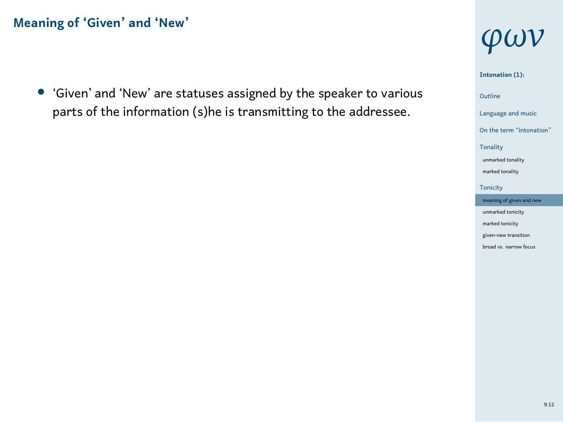*•* 'Given' and 'New' are statuses assigned by the speaker to various parts of the information (s)he is transmitting to the addressee.

## *φων*

1 Outline **Intonation (1):** Language and music On the term "intonation" Tonality unmarked to marked tonality Tonicity meaning of given unmarked to marked tonicity

given-new transition broad vs. narrow for

9.12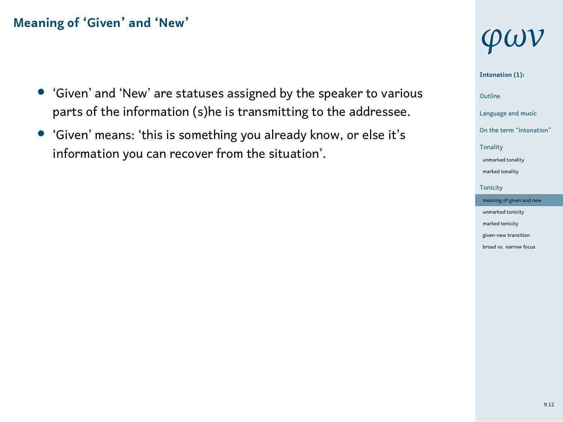- *•* 'Given' and 'New' are statuses assigned by the speaker to various parts of the information (s)he is transmitting to the addressee.
- *•* 'Given' means: 'this is something you already know, or else it's information you can recover from the situation'.

## *φων*

#### **Intonation (1):**

- 1 Outline
- Language and music
- On the term "inton Tonality
- unmarked t marked tonality
- Tonicity
- meaning of give unmarked to
- marked tonicity given-new transit broad vs. narrow for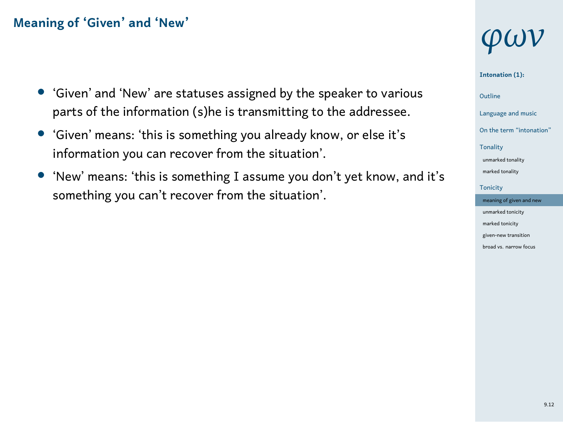- *•* 'Given' and 'New' are statuses assigned by the speaker to various parts of the information (s)he is transmitting to the addressee.
- *•* 'Given' means: 'this is something you already know, or else it's information you can recover from the situation'.
- *•* 'New' means: 'this is something I assume you don't yet know, and it's something you can't recover from the situation'.

## *φων*

#### **Intonation (1):**

### 1 Outline

- Language and music
- On the term "inton
- Tonality unmarked t
- marked tonality
- **Tonicity** meaning of give
- unmarked tonicity marked tonicity
- given-new transit broad vs. narrow for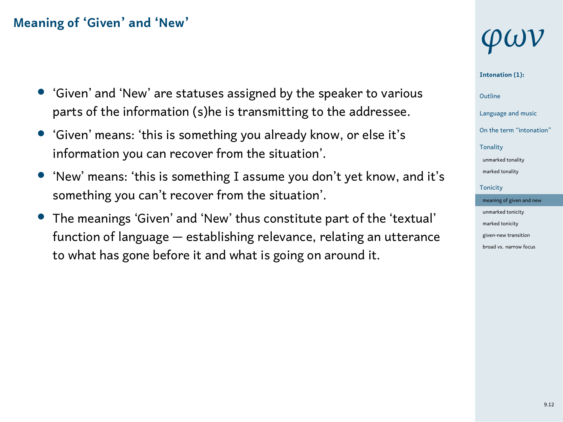- *•* 'Given' and 'New' are statuses assigned by the speaker to various parts of the information (s)he is transmitting to the addressee.
- *•* 'Given' means: 'this is something you already know, or else it's information you can recover from the situation'.
- *•* 'New' means: 'this is something I assume you don't yet know, and it's something you can't recover from the situation'.
- *•* The meanings 'Given' and 'New' thus constitute part of the 'textual' function of language — establishing relevance, relating an utterance to what has gone before it and what is going on around it.

## *φων*

#### **Intonation (1):**

1 Outline

#### Language and music On the term "into

Tonality

unmarked tonality marked tonality

**Tonicity** meaning of giv unmarked tonicity

marked tonicity given-new transit .<br>broad vs. narrow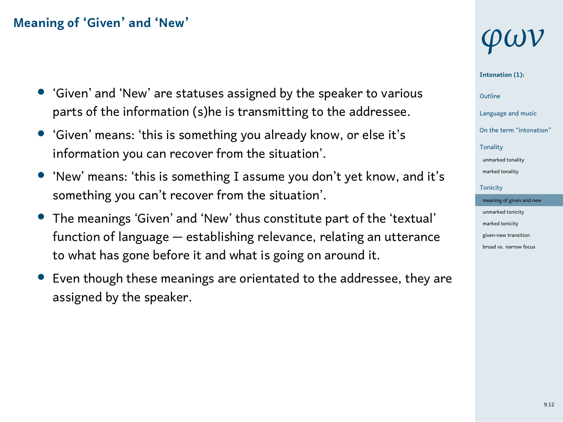- *•* 'Given' and 'New' are statuses assigned by the speaker to various parts of the information (s)he is transmitting to the addressee.
- *•* 'Given' means: 'this is something you already know, or else it's information you can recover from the situation'.
- *•* 'New' means: 'this is something I assume you don't yet know, and it's something you can't recover from the situation'.
- *•* The meanings 'Given' and 'New' thus constitute part of the 'textual' function of language — establishing relevance, relating an utterance to what has gone before it and what is going on around it.
- *•* Even though these meanings are orientated to the addressee, they are assigned by the speaker.

## *φων*

#### **Intonation (1):**

## 1 Outline

#### Language and music

### $On the term "into"$

#### Tonality unmarked tonality marked tonality

#### **Tonicity** meaning of giv

#### unmarked tonicity marked tonicity given-new transit .<br>broad vs. narrow

#### 9.12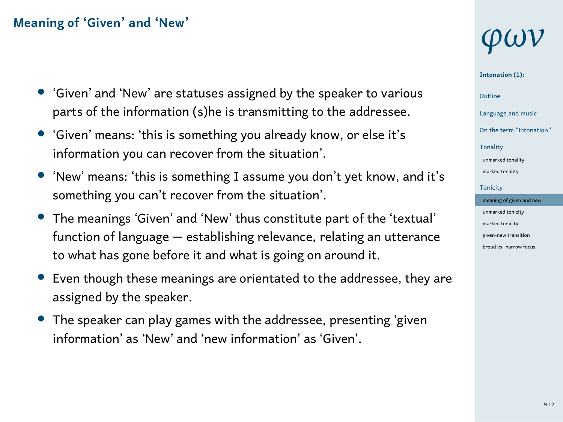- *•* 'Given' and 'New' are statuses assigned by the speaker to various parts of the information (s)he is transmitting to the addressee.
- *•* 'Given' means: 'this is something you already know, or else it's information you can recover from the situation'.
- *•* 'New' means: 'this is something I assume you don't yet know, and it's something you can't recover from the situation'.
- *•* The meanings 'Given' and 'New' thus constitute part of the 'textual' function of language — establishing relevance, relating an utterance to what has gone before it and what is going on around it.
- *•* Even though these meanings are orientated to the addressee, they are assigned by the speaker.
- *•* The speaker can play games with the addressee, presenting 'given information' as 'New' and 'new information' as 'Given'.

## *φων*

**Intonation (1):**

1 Outline

- Language and music  $On the term "into$
- **Tonality** unmarked tonality
- marked tonality **Tonicity**
- meaning of giv unmarked tonicity
- marked tonicity given-new transition .<br>broad vs. narro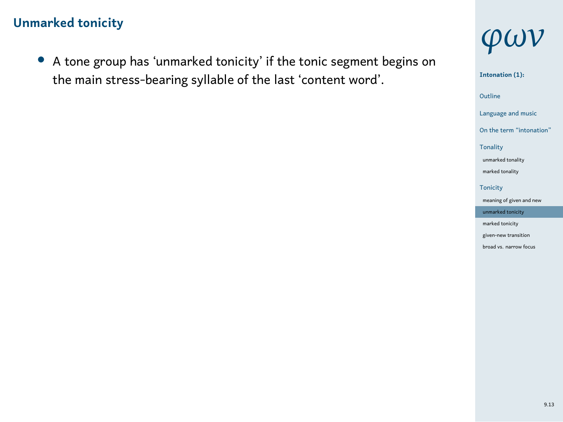*•* A tone group has 'unmarked tonicity' if the tonic segment begins on the main stress-bearing syllable of the last 'content word'.



1 Outline **Intonation (1):** Language and music On the term "inton Tonality unmarked to marked tonality Tonicity meaning of given and new unmarked tor marked tonicity given-new transition broad vs. narrow focus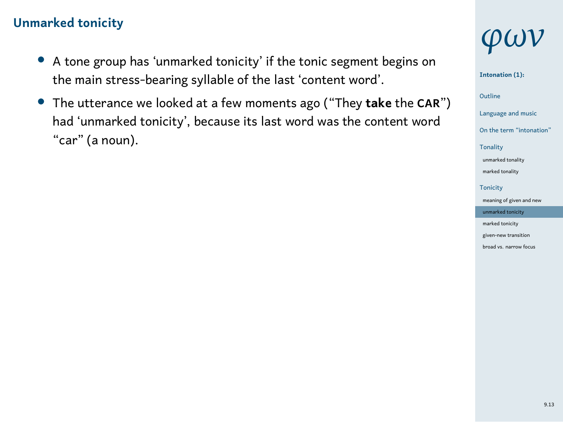- *•* A tone group has 'unmarked tonicity' if the tonic segment begins on the main stress-bearing syllable of the last 'content word'.
- *•* The utterance we looked at a few moments ago ("They **take** the **CAR**") had 'unmarked tonicity', because its last word was the content word "car" (a noun).

## *φων*

#### **Intonation (1):**

1 Outline

Language and music On the term "inton

Tonality unmarked t marked tonality Tonicity

meaning of given and new unmarked to marked tonicity

given-new transition broad vs. narrow focus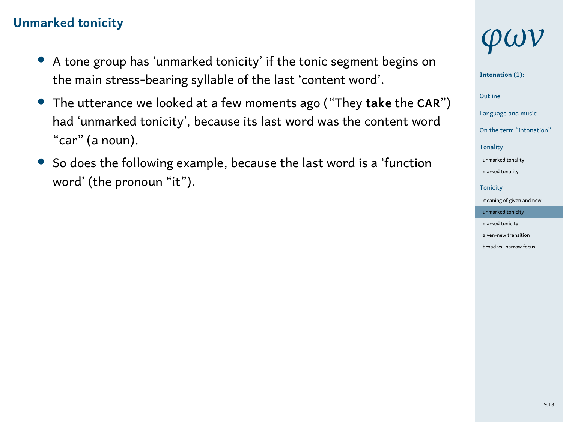- *•* A tone group has 'unmarked tonicity' if the tonic segment begins on the main stress-bearing syllable of the last 'content word'.
- *•* The utterance we looked at a few moments ago ("They **take** the **CAR**") had 'unmarked tonicity', because its last word was the content word "car" (a noun).
- *•* So does the following example, because the last word is a 'function word' (the pronoun "it").

## *φων*

#### **Intonation (1):**

### 1 Outline

Language and music On the term "into

#### Tonality unmarked t

marked tonality Tonicity ming of give

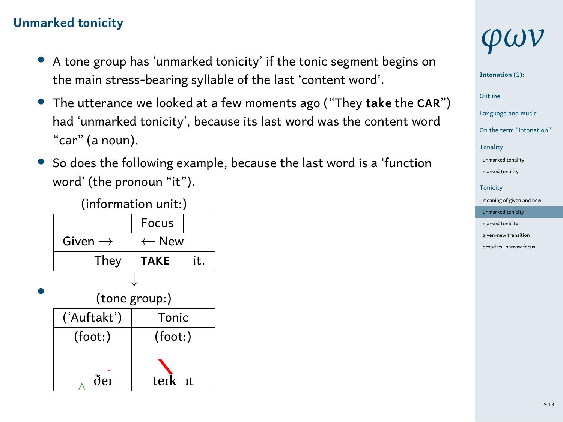- *•* A tone group has 'unmarked tonicity' if the tonic segment begins on the main stress-bearing syllable of the last 'content word'.
- *•* The utterance we looked at a few moments ago ("They **take** the **CAR**") had 'unmarked tonicity', because its last word was the content word "car" (a noun).
- *•* So does the following example, because the last word is a 'function word' (the pronoun "it").

| (information unit:) |                    |  |  |  |  |
|---------------------|--------------------|--|--|--|--|
|                     | Focus              |  |  |  |  |
| Given $\rightarrow$ | $\leftarrow$ New   |  |  |  |  |
| They                | it.<br><b>TAKE</b> |  |  |  |  |
|                     |                    |  |  |  |  |
| (tone group:)       |                    |  |  |  |  |
| ('Auftakt')         | Tonic              |  |  |  |  |
| (foot:)             | (foot:)            |  |  |  |  |
|                     |                    |  |  |  |  |
| ðer                 | terk<br>- Tf       |  |  |  |  |

## *φων*

#### **Intonation (1):**

## 1 Outline

### Language and music

- On the term "into Tonality
- unmarked t marked tonality
- **Tonicity** ning of giv
- unmarked tonicity marked tonicity
- given-new transition broad vs. narrow for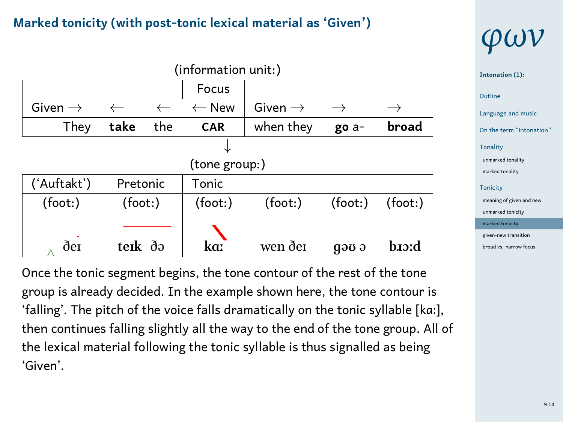### **Marked tonicity (with post-tonic lexical material as 'Given')**

| (information unit:) |              |              |                  |                     |          |          |
|---------------------|--------------|--------------|------------------|---------------------|----------|----------|
|                     |              |              | Focus            |                     |          |          |
| Given $\rightarrow$ | $\leftarrow$ | $\leftarrow$ | $\leftarrow$ New | Given $\rightarrow$ |          |          |
| They                | take         | the          | <b>CAR</b>       | when they           | go a-    | broad    |
|                     |              |              |                  |                     |          |          |
|                     |              |              | (tone group:)    |                     |          |          |
| ('Auftakt')         | Pretonic     |              | Tonic            |                     |          |          |
| (foot:)             | (foot:)      |              | (foot: )         | (foot: )            | (foot: ) | (foot: ) |
|                     |              |              |                  |                     |          |          |
| ðе1                 | terk ðə      |              | kaː              | wen dei             | дәв ә    | b.crd    |

Once the tonic segment begins, the tone contour of the rest of the tone group is already decided. In the example shown here, the tone contour is 'falling'. The pitch of the voice falls dramatically on the tonic syllable [kɑː], then continues falling slightly all the way to the end of the tone group. All of the lexical material following the tonic syllable is thus signalled as being 'Given'.

## *φων*

| Intonation (1):          |  |  |  |  |  |
|--------------------------|--|--|--|--|--|
| Outline                  |  |  |  |  |  |
| Language and music       |  |  |  |  |  |
| On the term "intonation" |  |  |  |  |  |
| Tonality                 |  |  |  |  |  |
| unmarked tonality        |  |  |  |  |  |
| marked tonality          |  |  |  |  |  |
| <b>Tonicity</b>          |  |  |  |  |  |
| meaning of given and new |  |  |  |  |  |
| unmarked tonicity        |  |  |  |  |  |
| marked tonicity          |  |  |  |  |  |
| given-new transition     |  |  |  |  |  |
| broad vs. narrow focus   |  |  |  |  |  |
|                          |  |  |  |  |  |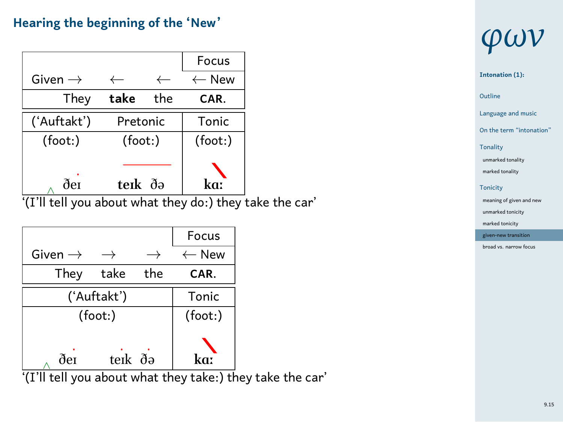## **Hearing the beginning of the 'New'**

|                                                         |          |     | Focus            |  |
|---------------------------------------------------------|----------|-----|------------------|--|
| Given $\rightarrow$                                     |          |     | $\leftarrow$ New |  |
| They                                                    | take     | the | CAR.             |  |
| ('Auftakt')                                             | Pretonic |     | Tonic            |  |
| (foot:)                                                 | (foot:)  |     | (foot:)          |  |
|                                                         |          |     |                  |  |
| ðе1                                                     | terk də  |     | kaː              |  |
| '(I'll tell you about what they do:) they take the car' |          |     |                  |  |

|                     |         |     | Focus            |
|---------------------|---------|-----|------------------|
| Given $\rightarrow$ |         |     | $\leftarrow$ New |
| They                | take    | the | CAR.             |
| ('Auftakt')         | Tonic   |     |                  |
| (foot:)             |         |     | (foot: )         |
| ðer                 | terk ðə |     |                  |

*∧* '(I'll tell you about what they take:) they take the car'

## *φων*

#### **Intonation (1):**

1 Outline

Language and music On the term "intonation"

Tonality

unmarked to marked tonality

Tonicity meaning of given an

unmarked tonicity marked tonicity

given-new transition broad vs. narrow focus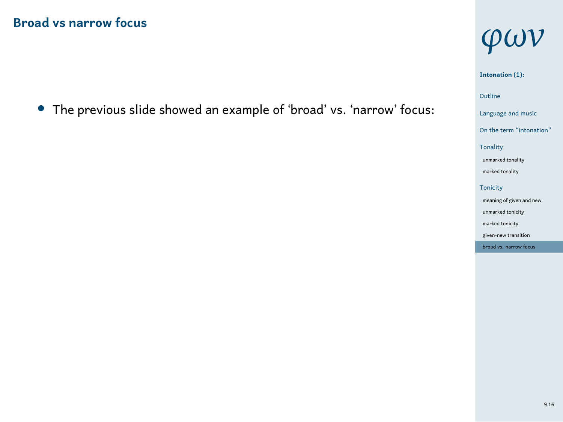*•* The previous slide showed an example of 'broad' vs. 'narrow' focus:

# *φων*

### **Intonation (1):**

- 1 Outline
- Language and music On the term "intonation"
- Tonality unmarked tonality marked tonality Tonicity meaning of given and new
- unmarked tonicity marked tonicity -new tra
- broad vs. narrow focus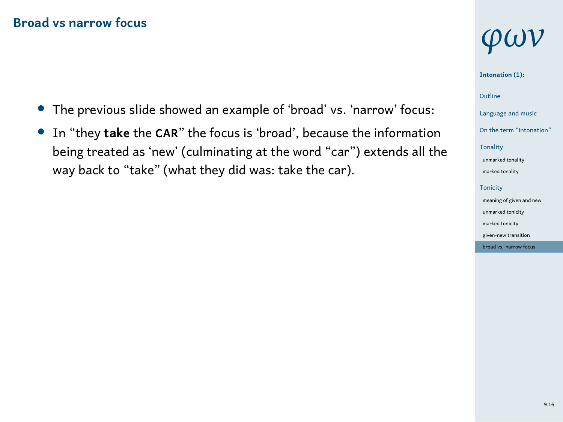- *•* The previous slide showed an example of 'broad' vs. 'narrow' focus:
- *•* In "they **take** the **CAR**" the focus is 'broad', because the information being treated as 'new' (culminating at the word "car") extends all the way back to "take" (what they did was: take the car).

## *φων*

#### **Intonation (1):**

### 1 Outline

- Language and music
- On the term "intonat Tonality
- unmarked to marked tonality
- Tonicity meaning of given and n
- unmarked ton marked tonicity
- given-new transition broad vs. narrow focus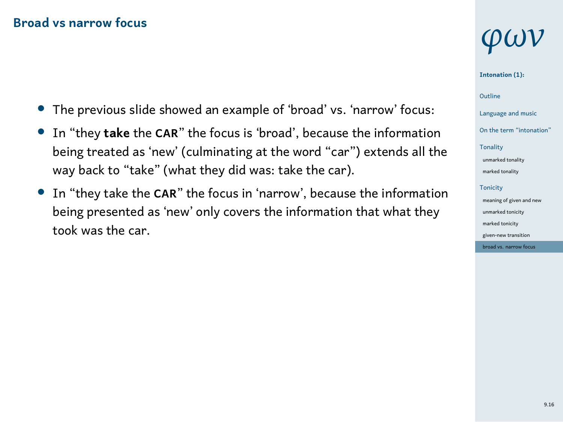- *•* The previous slide showed an example of 'broad' vs. 'narrow' focus:
- *•* In "they **take** the **CAR**" the focus is 'broad', because the information being treated as 'new' (culminating at the word "car") extends all the way back to "take" (what they did was: take the car).
- *•* In "they take the **CAR**" the focus in 'narrow', because the information being presented as 'new' only covers the information that what they took was the car.

## *φων*

#### **Intonation (1):**

### 1 Outline

- Language and music On the term "inton
- Tonality
- unmarked to marked tonality
- Tonicity meaning of given a
- unmarked ton marked tonicity
- given-new transition broad vs. narrow focus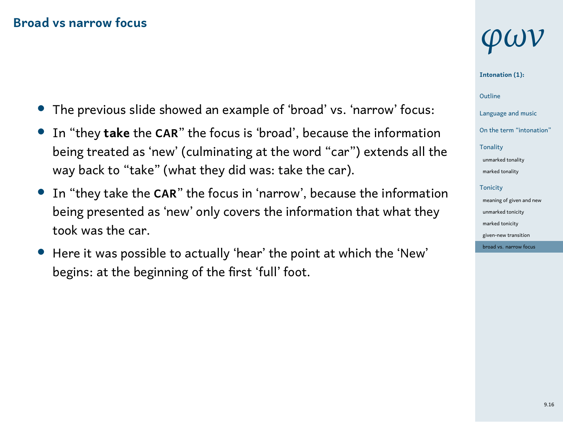- *•* The previous slide showed an example of 'broad' vs. 'narrow' focus:
- *•* In "they **take** the **CAR**" the focus is 'broad', because the information being treated as 'new' (culminating at the word "car") extends all the way back to "take" (what they did was: take the car).
- *•* In "they take the **CAR**" the focus in 'narrow', because the information being presented as 'new' only covers the information that what they took was the car.
- *•* Here it was possible to actually 'hear' the point at which the 'New' begins: at the beginning of the first 'full' foot.

## *φων*

**Intonation (1):**

1 Outline

- Language and music On the term "into
- Tonality unmarked t

marked tonality Tonicity meaning of given a

unmarked tonicity marked tonicity given-new tran

bad vs. narr